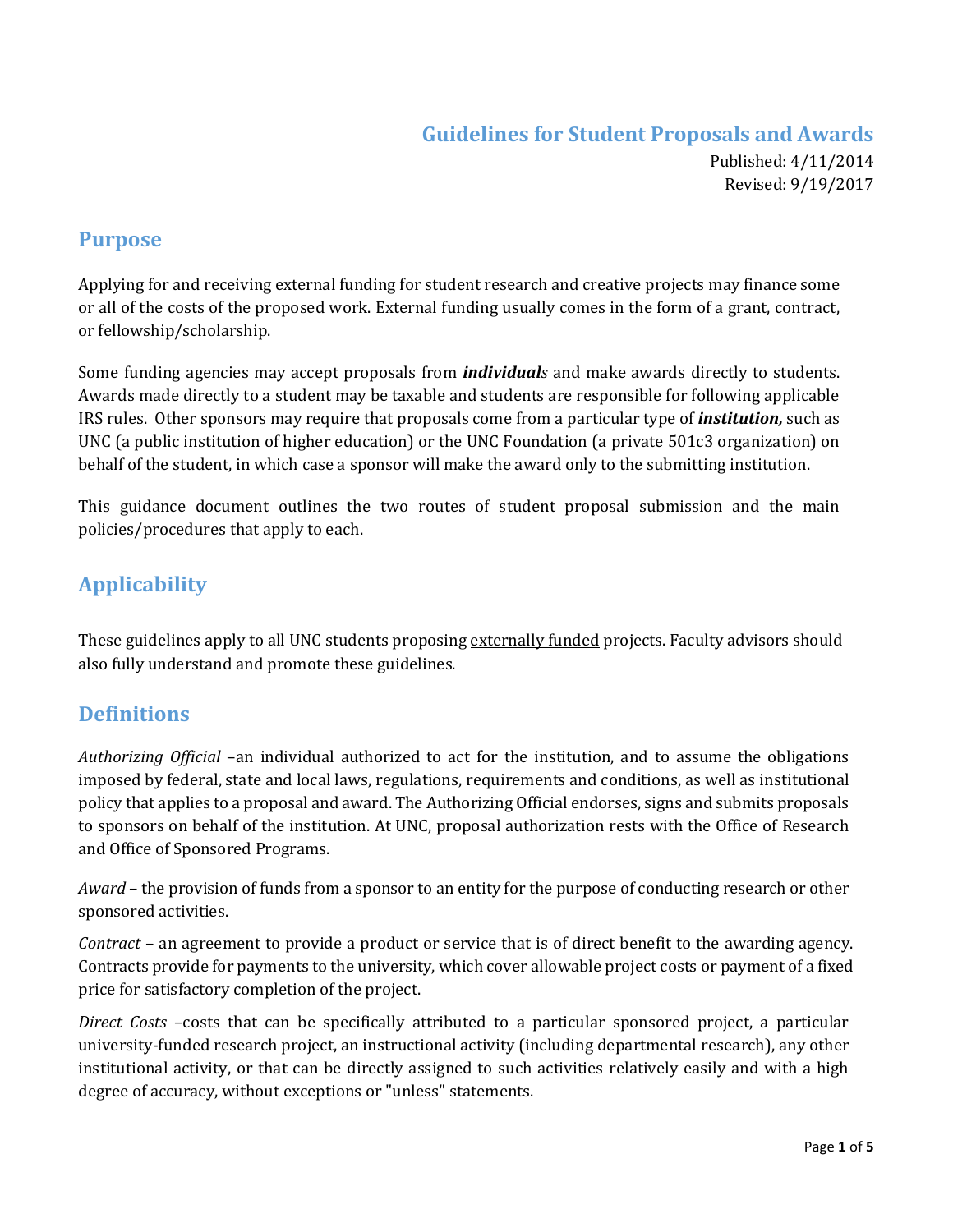# **Guidelines for Student Proposals and Awards**

Published: 4/11/2014 Revised: 9/19/2017

## **Purpose**

Applying for and receiving external funding for student research and creative projects may finance some or all of the costs of the proposed work. External funding usually comes in the form of a grant, contract, or fellowship/scholarship.

Some funding agencies may accept proposals from *individuals* and make awards directly to students. Awards made directly to a student may be taxable and students are responsible for following applicable IRS rules. Other sponsors may require that proposals come from a particular type of *institution,* such as UNC (a public institution of higher education) or the UNC Foundation (a private 501c3 organization) on behalf of the student, in which case a sponsor will make the award only to the submitting institution.

This guidance document outlines the two routes of student proposal submission and the main policies/procedures that apply to each.

# **Applicability**

These guidelines apply to all UNC students proposing externally funded projects. Faculty advisors should also fully understand and promote these guidelines.

# **Definitions**

*Authorizing Official* –an individual authorized to act for the institution, and to assume the obligations imposed by federal, state and local laws, regulations, requirements and conditions, as well as institutional policy that applies to a proposal and award. The Authorizing Official endorses, signs and submits proposals to sponsors on behalf of the institution. At UNC, proposal authorization rests with the Office of Research and Office of Sponsored Programs.

*Award* – the provision of funds from a sponsor to an entity for the purpose of conducting research or other sponsored activities.

*Contract* – an agreement to provide a product or service that is of direct benefit to the awarding agency. Contracts provide for payments to the university, which cover allowable project costs or payment of a fixed price for satisfactory completion of the project.

*Direct Costs* –costs that can be specifically attributed to a particular sponsored project, a particular university-funded research project, an instructional activity (including departmental research), any other institutional activity, or that can be directly assigned to such activities relatively easily and with a high degree of accuracy, without exceptions or "unless" statements.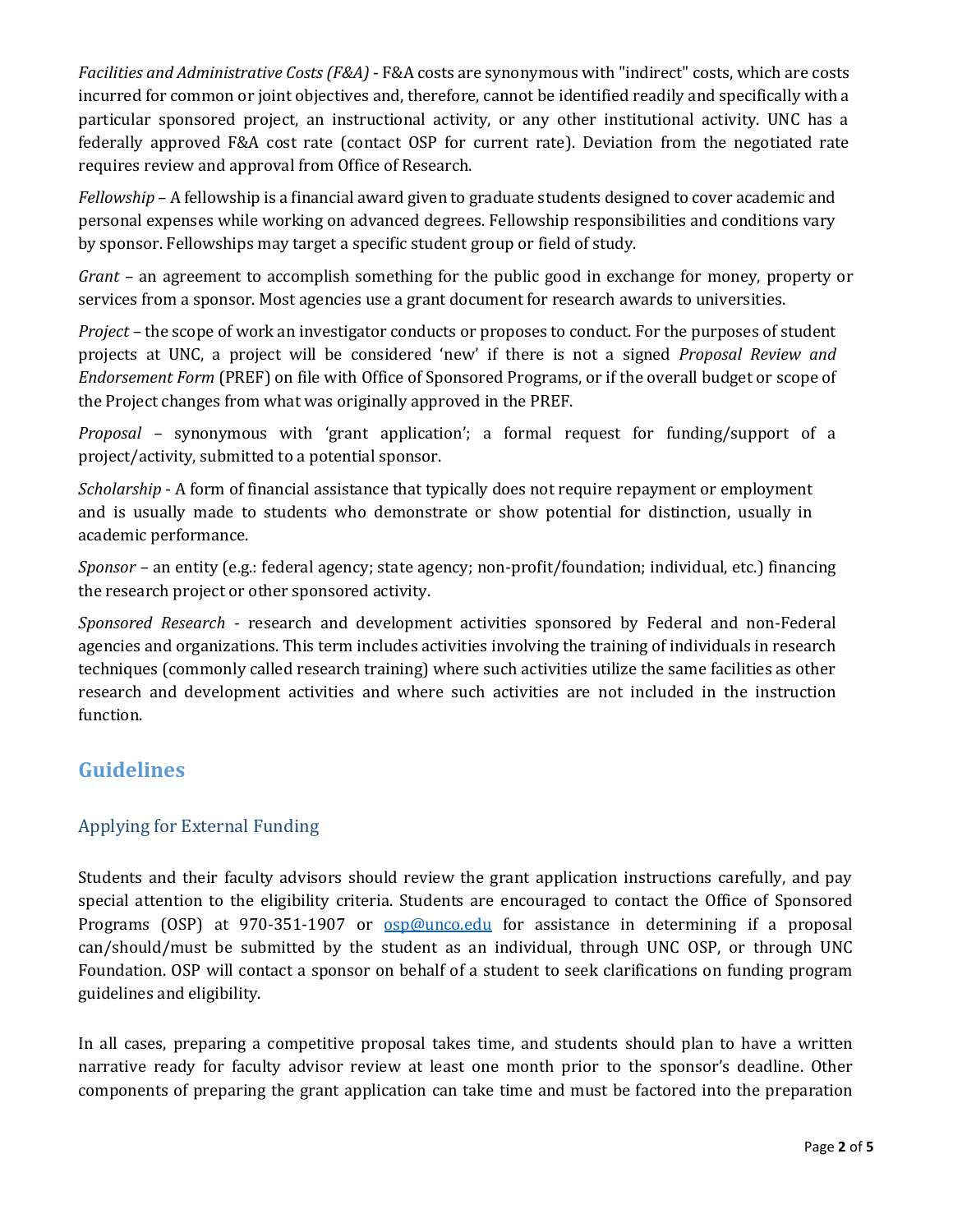*Facilities and Administrative Costs (F&A)* - F&A costs are synonymous with "indirect" costs, which are costs incurred for common or joint objectives and, therefore, cannot be identified readily and specifically with a particular sponsored project, an instructional activity, or any other institutional activity. UNC has a federally approved F&A cost rate (contact OSP for current rate). Deviation from the negotiated rate requires review and approval from Office of Research.

*Fellowship* – A fellowship is a financial award given to graduate students designed to cover academic and personal expenses while working on advanced degrees. Fellowship responsibilities and conditions vary by sponsor. Fellowships may target a specific student group or field of study.

*Grant* – an agreement to accomplish something for the public good in exchange for money, property or services from a sponsor. Most agencies use a grant document for research awards to universities.

*Project –* the scope of work an investigator conducts or proposes to conduct. For the purposes of student projects at UNC, a project will be considered 'new' if there is not a signed *Proposal Review and Endorsement Form* (PREF) on file with Office of Sponsored Programs, or if the overall budget or scope of the Project changes from what was originally approved in the PREF.

*Proposal –* synonymous with 'grant application'; a formal request for funding/support of a project/activity, submitted to a potential sponsor.

*Scholarship* - A form of financial assistance that typically does not require repayment or employment and is usually made to students who demonstrate or show potential for distinction, usually in academic performance.

*Sponsor –* an entity (e.g.: federal agency; state agency; non-profit/foundation; individual, etc.) financing the research project or other sponsored activity.

*Sponsored Research* - research and development activities sponsored by Federal and non-Federal agencies and organizations. This term includes activities involving the training of individuals in research techniques (commonly called research training) where such activities utilize the same facilities as other research and development activities and where such activities are not included in the instruction function.

# **Guidelines**

## Applying for External Funding

Students and their faculty advisors should review the grant application instructions carefully, and pay special attention to the eligibility criteria. Students are encouraged to contact the Office of Sponsored Programs (OSP) at 970-351-1907 or [osp@unco.edu](mailto:osp@unco.edu) for assistance in determining if a proposal can/should/must be submitted by the student as an individual, through UNC OSP, or through UNC Foundation. OSP will contact a sponsor on behalf of a student to seek clarifications on funding program guidelines and eligibility.

In all cases, preparing a competitive proposal takes time, and students should plan to have a written narrative ready for faculty advisor review at least one month prior to the sponsor's deadline. Other components of preparing the grant application can take time and must be factored into the preparation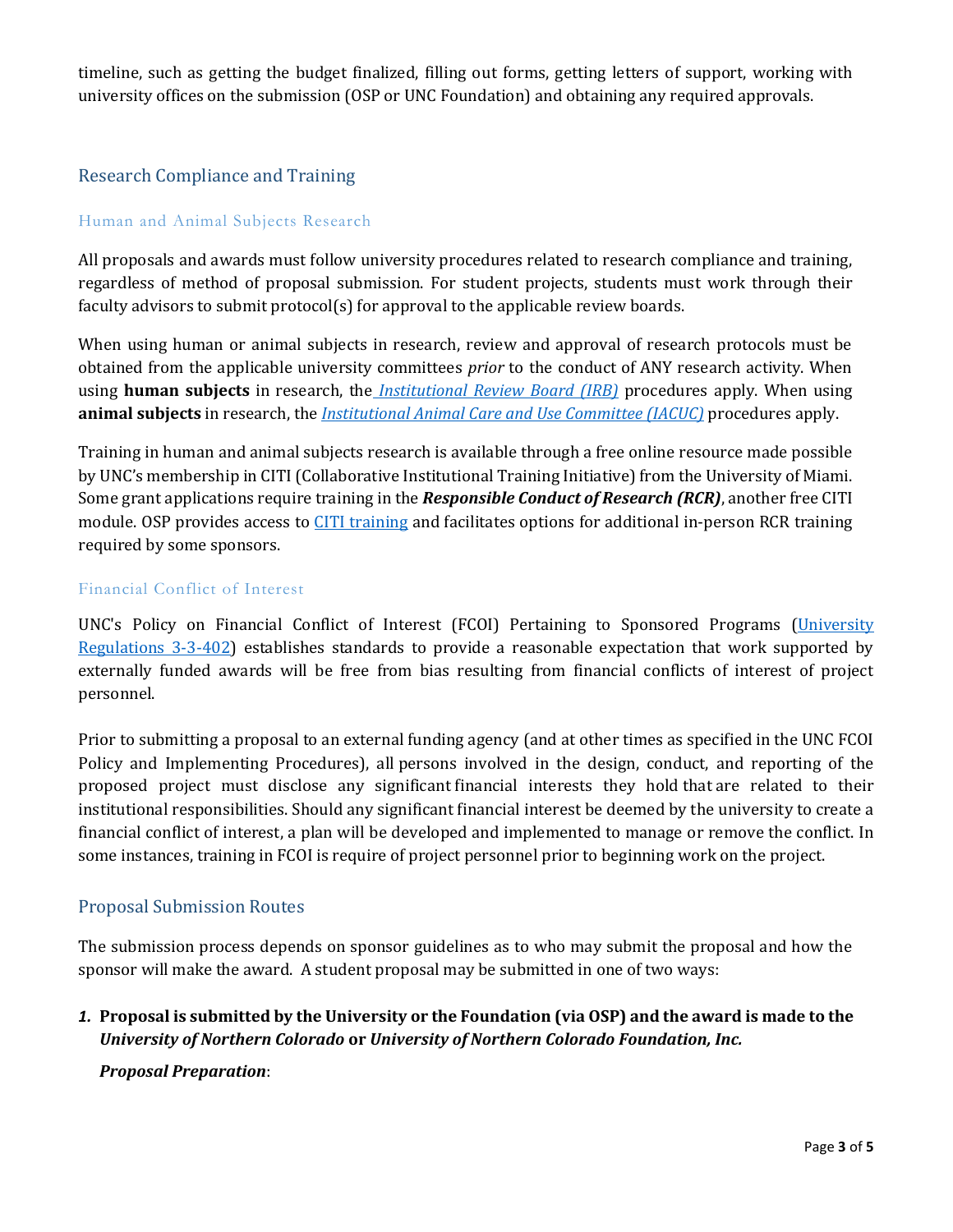timeline, such as getting the budget finalized, filling out forms, getting letters of support, working with university offices on the submission (OSP or UNC Foundation) and obtaining any required approvals.

### Research Compliance and Training

#### Human and Animal Subjects Research

All proposals and awards must follow university procedures related to research compliance and training, regardless of method of proposal submission. For student projects, students must work through their faculty advisors to submit protocol(s) for approval to the applicable review boards.

When using human or animal subjects in research, review and approval of research protocols must be obtained from the applicable university committees *prior* to the conduct of ANY research activity. When using **human subjects** in research, the *[Institutional Review Board \(IRB\)](http://www.unco.edu/research/research-integrity-and-compliance/institutional-review-board/)* procedures apply. When using **animal subjects** in research, the *[Institutional Animal Care and Use Committee \(IACUC\)](http://www.unco.edu/research/research-integrity-and-compliance/iacuc/)* procedures apply.

Training in human and animal subjects research is available through a free online resource made possible by UNC's membership in CITI (Collaborative Institutional Training Initiative) from the University of Miami. Some grant applications require training in the *Responsible Conduct of Research (RCR)*, another free CITI module. OSP provides access to [CITI training](http://www.unco.edu/research/research-integrity-and-compliance/responsible-conduct-of-research/citi-training-in-the-responsible-conduct-of-research.aspx) and facilitates options for additional in-person RCR training required by some sponsors.

#### Financial Conflict of Interest

UNC's [Policy on Financial Conflict of Interest \(FCOI\) Pertaining to Sponsored Programs](http://www.unco.edu/research/research-integrity-and-compliance/financial-conflict-of-interest/index.aspx) [\(University](http://www.unco.edu/trustees/pdf/University_Regulations.pdf)  [Regulations 3-3-402\)](http://www.unco.edu/trustees/pdf/University_Regulations.pdf) establishes standards to provide a reasonable expectation that work supported by externally funded awards will be free from bias resulting from financial conflicts of interest of project personnel.

Prior to submitting a proposal to an external funding agency (and at other times as specified in the UNC FCOI Policy and Implementing Procedures), all persons involved in the design, conduct, and reporting of the proposed project must disclose any significant financial interests they hold that are related to their institutional responsibilities. Should any significant financial interest be deemed by the university to create a financial conflict of interest, a plan will be developed and implemented to manage or remove the conflict. In some instances, training in FCOI is require of project personnel prior to beginning work on the project.

#### Proposal Submission Routes

The submission process depends on sponsor guidelines as to who may submit the proposal and how the sponsor will make the award. A student proposal may be submitted in one of two ways:

### *1.* **Proposal is submitted by the University or the Foundation (via OSP) and the award is made to the**  *University of Northern Colorado* **or** *University of Northern Colorado Foundation, Inc.*

#### *Proposal Preparation*: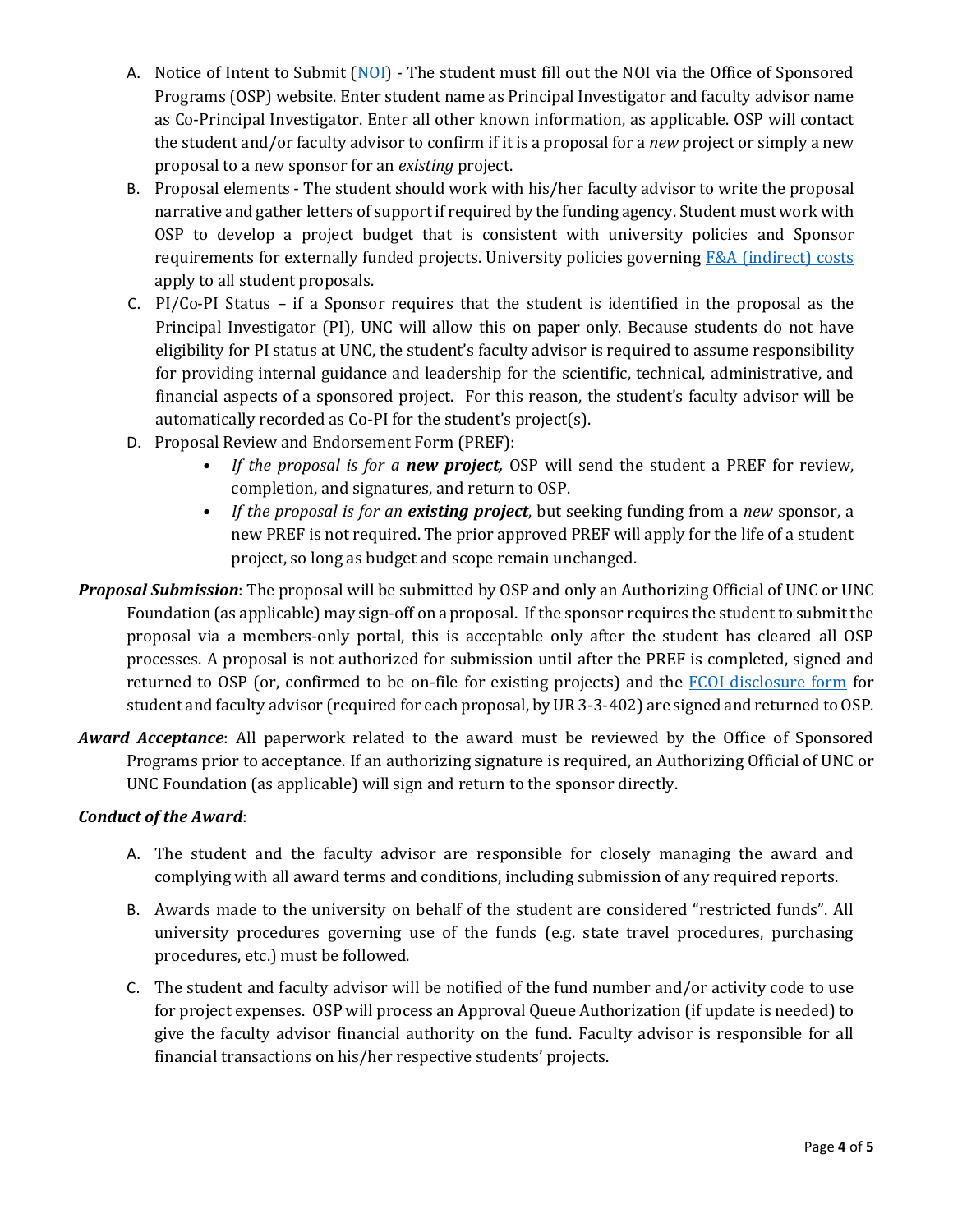- A. Notice of Intent to Submit [\(NOI\)](http://www.unco.edu/research/notice-of-intent.aspx) The student must fill out the NOI via the Office of Sponsored Programs (OSP) website. Enter student name as Principal Investigator and faculty advisor name as Co-Principal Investigator. Enter all other known information, as applicable. OSP will contact the student and/or faculty advisor to confirm if it is a proposal for a *new* project or simply a new proposal to a new sponsor for an *existing* project.
- B. Proposal elements The student should work with his/her faculty advisor to write the proposal narrative and gather letters of support if required by the funding agency. Student must work with OSP to develop a project budget that is consistent with university policies and Sponsor requirements for externally funded projects. University policies governing [F&A \(indirect\)](http://www.unco.edu/provost/pdf/compliance/UNCOA-008-Indirect-Costs-final.pdf) costs apply to all student proposals.
- C. PI/Co-PI Status if a Sponsor requires that the student is identified in the proposal as the Principal Investigator (PI), UNC will allow this on paper only. Because students do not have eligibility for PI status at UNC, the student's faculty advisor is required to assume responsibility for providing internal guidance and leadership for the scientific, technical, administrative, and financial aspects of a sponsored project. For this reason, the student's faculty advisor will be automatically recorded as Co-PI for the student's project(s).
- D. Proposal Review and Endorsement Form (PREF):
	- *If the proposal is for a new project,* OSP will send the student a PREF for review, completion, and signatures, and return to OSP.
	- *If the proposal is for an existing project*, but seeking funding from a *new* sponsor, a new PREF is not required. The prior approved PREF will apply for the life of a student project, so long as budget and scope remain unchanged.
- *Proposal Submission*: The proposal will be submitted by OSP and only an Authorizing Official of UNC or UNC Foundation (as applicable) may sign-off on aproposal. If the sponsor requires the student to submit the proposal via a members-only portal, this is acceptable only after the student has cleared all OSP processes. A proposal is not authorized for submission until after the PREF is completed, signed and returned to OSP (or, confirmed to be on-file for existing projects) and the **FCOI** disclosure form for student and faculty advisor (required for each proposal, by UR 3-3-402) are signed and returned to OSP.
- *Award Acceptance*: All paperwork related to the award must be reviewed by the Office of Sponsored Programs prior to acceptance. If an authorizing signature is required, an Authorizing Official of UNC or UNC Foundation (as applicable) will sign and return to the sponsor directly.

### *Conduct of the Award*:

- A. The student and the faculty advisor are responsible for closely managing the award and complying with all award terms and conditions, including submission of any required reports.
- B. Awards made to the university on behalf of the student are considered "restricted funds". All university procedures governing use of the funds (e.g. state travel procedures, purchasing procedures, etc.) must be followed.
- C. The student and faculty advisor will be notified of the fund number and/or activity code to use for project expenses. OSP will process an Approval Queue Authorization (if update is needed) to give the faculty advisor financial authority on the fund. Faculty advisor is responsible for all financial transactions on his/her respective students' projects.